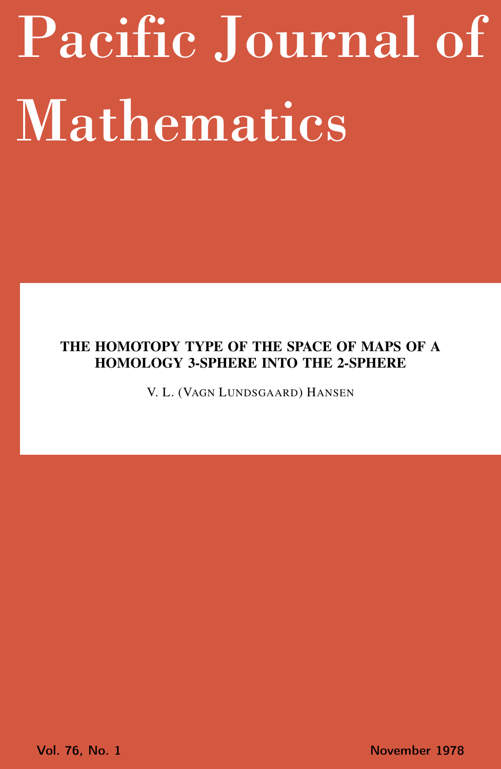# <span id="page-0-0"></span>Pacific Journal of Mathematics

# THE HOMOTOPY TYPE OF THE SPACE OF MAPS OF A HOMOLOGY 3-SPHERE INTO THE 2-SPHERE

V. L. (VAGN LUNDSGAARD) HANSEN

Vol. 76, No. 1 November 1978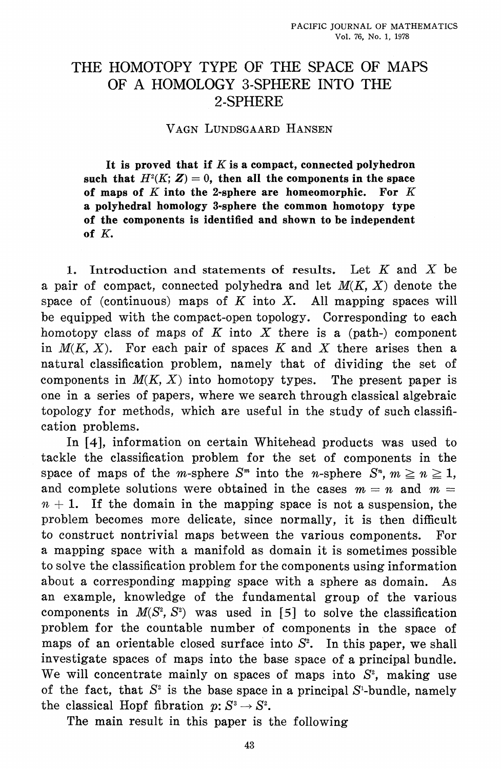# THE HOMOTOPY TYPE OF THE SPACE OF MAPS OF A HOMOLOGY 3-SPHERE INTO THE 2-SPHERE

## VAGN LUNDSGAARD HANSEN

It is proved that if  $K$  is a compact, connected polyhedron such that  $H^2(K; Z) = 0$ , then all the components in the space of maps of  $K$  into the 2-sphere are homeomorphic. For  $K$ a polyhedral homology 3-sphere the common homotopy type of the components is identified and shown to be independent of  $K$ .

1. Introduction and statements of results. Let K and X be a pair of compact, connected polyhedra and let  $M(K, X)$  denote the space of (continuous) maps of  $K$  into  $X$ . All mapping spaces will be equipped with the compact-open topology. Corresponding to each homotopy class of maps of  $K$  into  $X$  there is a (path-) component in  $M(K, X)$ . For each pair of spaces K and X there arises then a natural classification problem, namely that of dividing the set of components in  $M(K, X)$  into homotopy types. The present paper is one in a series of papers, where we search through classical algebraic topology for methods, which are useful in the study of such classification problems.

In [4], information on certain Whitehead products was used to tackle the classification problem for the set of components in the space of maps of the *m*-sphere  $S^m$  into the *n*-sphere  $S^m$ ,  $m \ge n \ge 1$ , and complete solutions were obtained in the cases  $m = n$  and  $m =$  $n + 1$ . If the domain in the mapping space is not a suspension, the problem becomes more delicate, since normally, it is then difficult to construct nontrivial maps between the various components. For a mapping space with a manifold as domain it is sometimes possible to solve the classification problem for the components using information about a corresponding mapping space with a sphere as domain.  $As$ an example, knowledge of the fundamental group of the various components in  $M(S^2, S^2)$  was used in [5] to solve the classification problem for the countable number of components in the space of maps of an orientable closed surface into  $S^2$ . In this paper, we shall investigate spaces of maps into the base space of a principal bundle. We will concentrate mainly on spaces of maps into  $S^2$ , making use of the fact, that  $S^2$  is the base space in a principal  $S^1$ -bundle, namely the classical Hopf fibration  $p: S^3 \to S^2$ .

The main result in this paper is the following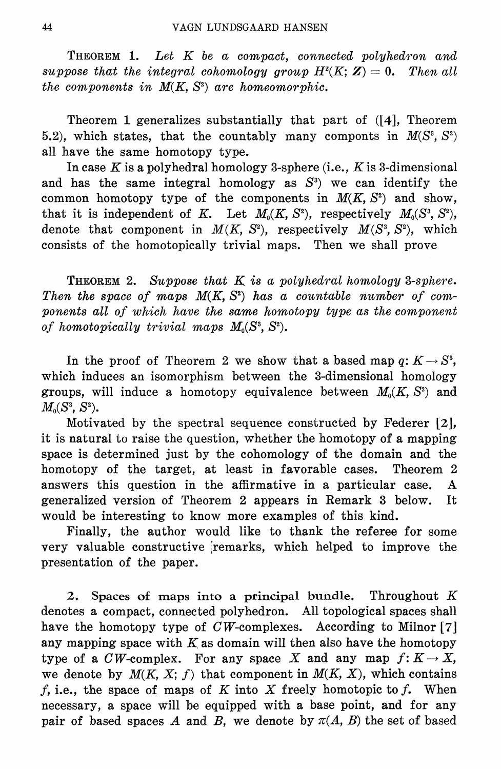THEOREM 1. Let K be a compact, connected polyhedron and suppose that the integral cohomology group  $H^2(K; Z) = 0$ . Then all the components in  $M(K, S^2)$  are homeomorphic.

Theorem 1 generalizes substantially that part of  $(4)$ , Theorem 5.2), which states, that the countably many componts in  $M(S^3, S^2)$ all have the same homotopy type.

In case K is a polyhedral homology 3-sphere (i.e., K is 3-dimensional and has the same integral homology as  $S^3$ ) we can identify the common homotopy type of the components in  $M(K, S^2)$  and show, that it is independent of K. Let  $M_0(K, S^2)$ , respectively  $M_0(S^3, S^2)$ , denote that component in  $M(K, S^2)$ , respectively  $M(S^3, S^2)$ , which consists of the homotopically trivial maps. Then we shall prove

**THEOREM** 2. Suppose that  $K$  is a polyhedral homology 3-sphere. Then the space of maps  $M(K, S^2)$  has a countable number of components all of which have the same homotopy type as the component of homotopically trivial maps  $M_0(S^3, S^2)$ .

In the proof of Theorem 2 we show that a based map  $q: K \to S^3$ , which induces an isomorphism between the 3-dimensional homology groups, will induce a homotopy equivalence between  $M_0(K, S^2)$  and  $M_0(S^3, S^2)$ .

Motivated by the spectral sequence constructed by Federer [2], it is natural to raise the question, whether the homotopy of a mapping space is determined just by the cohomology of the domain and the homotopy of the target, at least in favorable cases. Theorem 2 answers this question in the affirmative in a particular case.  $\mathbf{A}$ generalized version of Theorem 2 appears in Remark 3 below. Tt. would be interesting to know more examples of this kind.

Finally, the author would like to thank the referee for some very valuable constructive remarks, which helped to improve the presentation of the paper.

2. Spaces of maps into a principal bundle. Throughout  $K$ denotes a compact, connected polyhedron. All topological spaces shall have the homotopy type of  $CW$ -complexes. According to Milnor [7] any mapping space with  $K$  as domain will then also have the homotopy type of a  $CW$ -complex. For any space X and any map  $f: K \to X$ , we denote by  $M(K, X; f)$  that component in  $M(K, X)$ , which contains  $f$ , i.e., the space of maps of  $K$  into  $X$  freely homotopic to  $f$ . When necessary, a space will be equipped with a base point, and for any pair of based spaces A and B, we denote by  $\pi(A, B)$  the set of based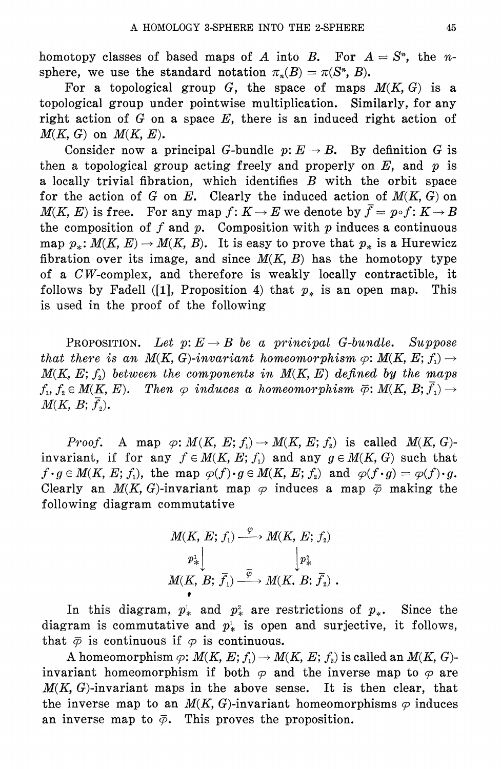homotopy classes of based maps of A into B. For  $A = S<sup>n</sup>$ , the nsphere, we use the standard notation  $\pi_n(B) = \pi(S^n, B)$ .

For a topological group G, the space of maps  $M(K, G)$  is a topological group under pointwise multiplication. Similarly, for any right action of  $G$  on a space  $E$ , there is an induced right action of  $M(K, G)$  on  $M(K, E)$ .

Consider now a principal G-bundle  $p: E \to B$ . By definition G is then a topological group acting freely and properly on  $E$ , and  $p$  is a locally trivial fibration, which identifies  $B$  with the orbit space for the action of G on E. Clearly the induced action of  $M(K, G)$  on  $M(K, E)$  is free. For any map  $f: K \to E$  we denote by  $\bar{f} = p \circ f: K \to B$ the composition of  $f$  and  $p$ . Composition with  $p$  induces a continuous map  $p_*: M(K, E) \to M(K, B)$ . It is easy to prove that  $p_*$  is a Hurewicz fibration over its image, and since  $M(K, B)$  has the homotopy type of a CW-complex, and therefore is weakly locally contractible, it follows by Fadell ([1], Proposition 4) that  $p_*$  is an open map. This is used in the proof of the following

**PROPOSITION.** Let  $p: E \to B$  be a principal G-bundle. Suppose that there is an  $M(K, G)$ -invariant homomorphism  $\varphi \colon M(K, E; f_1) \to$  $M(K, E; f<sub>2</sub>)$  between the components in  $M(K, E)$  defined by the maps  $f_1, f_2 \in M(K, E)$ . Then  $\varphi$  induces a homeomorphism  $\bar{\varphi}$ :  $M(K, B; \bar{f}_1) \rightarrow$  $M(K, B; \overline{f}_2).$ 

*Proof.* A map  $\varphi: M(K, E; f_1) \to M(K, E; f_2)$  is called  $M(K, G)$ invariant, if for any  $f \in M(K, E; f_1)$  and any  $g \in M(K, G)$  such that  $f \cdot g \in M(K, E; f_1)$ , the map  $\varphi(f) \cdot g \in M(K, E; f_2)$  and  $\varphi(f \cdot g) = \varphi(f) \cdot g$ . Clearly an  $M(K, G)$ -invariant map  $\varphi$  induces a map  $\bar{\varphi}$  making the following diagram commutative

$$
M(K, E; f_1) \xrightarrow{\varphi} M(K, E; f_2)
$$
  
\n $p^1_*$   
\n $M(K, B; \overline{f}_1) \xrightarrow{\overline{\varphi}} M(K, B; \overline{f}_2)$ .

In this diagram,  $p^1_*$  and  $p^2_*$  are restrictions of  $p_*$ . Since the diagram is commutative and  $p^1$  is open and surjective, it follows, that  $\bar{\varphi}$  is continuous if  $\varphi$  is continuous.

A homeomorphism  $\varphi: M(K, E; f_1) \to M(K, E; f_2)$  is called an  $M(K, G)$ invariant homeomorphism if both  $\varphi$  and the inverse map to  $\varphi$  are  $M(K, G)$ -invariant maps in the above sense. It is then clear, that the inverse map to an  $M(K, G)$ -invariant homeomorphisms  $\varphi$  induces an inverse map to  $\bar{\varphi}$ . This proves the proposition.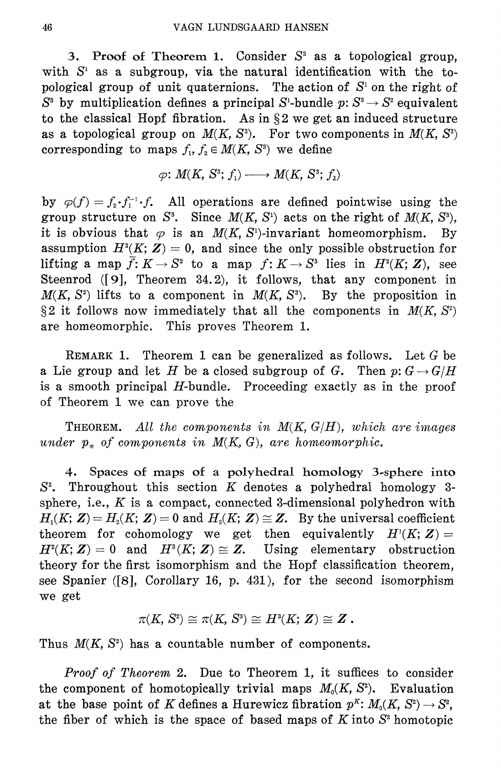3. Proof of Theorem 1. Consider  $S<sup>3</sup>$  as a topological group, with  $S<sup>1</sup>$  as a subgroup, via the natural identification with the topological group of unit quaternions. The action of  $S<sup>i</sup>$  on the right of  $S^3$  by multiplication defines a principal  $S^1$ -bundle  $p: S^3 \to S^2$  equivalent to the classical Hopf fibration. As in  $\S 2$  we get an induced structure as a topological group on  $M(K, S^3)$ . For two components in  $M(K, S^3)$ corresponding to maps  $f_1, f_2 \in M(K, S^3)$  we define

$$
\varphi\colon M(K,\,S^3;\,f_1)\longrightarrow M(K,\,S^3;\,f_2)
$$

by  $\varphi(f) = f_2 \cdot f_1^{-1} \cdot f$ . All operations are defined pointwise using the group structure on  $S^3$ . Since  $M(K, S^1)$  acts on the right of  $M(K, S^3)$ , it is obvious that  $\varphi$  is an  $M(K, S^1)$ -invariant homeomorphism.  $Bv$ assumption  $H^2(K; Z) = 0$ , and since the only possible obstruction for lifting a map  $\bar{f}: K \to S^2$  to a map  $f: K \to S^2$  lies in  $H^2(K; Z)$ , see Steenrod  $(9)$ , Theorem 34.2), it follows, that any component in  $M(K, S^2)$  lifts to a component in  $M(K, S^3)$ . By the proposition in §2 it follows now immediately that all the components in  $M(K, S^2)$ are homeomorphic. This proves Theorem 1.

REMARK 1. Theorem 1 can be generalized as follows. Let  $G$  be a Lie group and let H be a closed subgroup of G. Then  $p: G \to G/H$ is a smooth principal  $H$ -bundle. Proceeding exactly as in the proof of Theorem 1 we can prove the

**THEOREM.** All the components in  $M(K, G/H)$ , which are images under  $p_*$  of components in  $M(K, G)$ , are homeomorphic.

Spaces of maps of a polyhedral homology 3-sphere into 4.  $S<sup>2</sup>$ . Throughout this section K denotes a polyhedral homology 3sphere, i.e.,  $K$  is a compact, connected 3-dimensional polyhedron with  $H_1(K; Z) = H_2(K; Z) = 0$  and  $H_3(K; Z) \cong Z$ . By the universal coefficient theorem for cohomology we get then equivalently  $H^1(K; Z) =$  $H^2(K; Z) = 0$  and  $H^3(K; Z) \cong Z$ . Using elementary obstruction theory for the first isomorphism and the Hopf classification theorem, see Spanier ([8], Corollary 16, p. 431), for the second isomorphism we get

$$
\pi(K,\,S^{\scriptscriptstyle{\mathrm{2}}})\cong \pi(K,\,S^{\scriptscriptstyle{\mathrm{3}}})\cong H^{\scriptscriptstyle{\mathrm{3}}}(K;\,Z)\cong Z\ .
$$

Thus  $M(K, S^2)$  has a countable number of components.

*Proof of Theorem 2.* Due to Theorem 1, it suffices to consider the component of homotopically trivial maps  $M_0(K, S^2)$ . Evaluation at the base point of K defines a Hurewicz fibration  $p^k \colon M_0(K, S^2) \to S^2$ , the fiber of which is the space of based maps of  $K$  into  $S<sup>2</sup>$  homotopic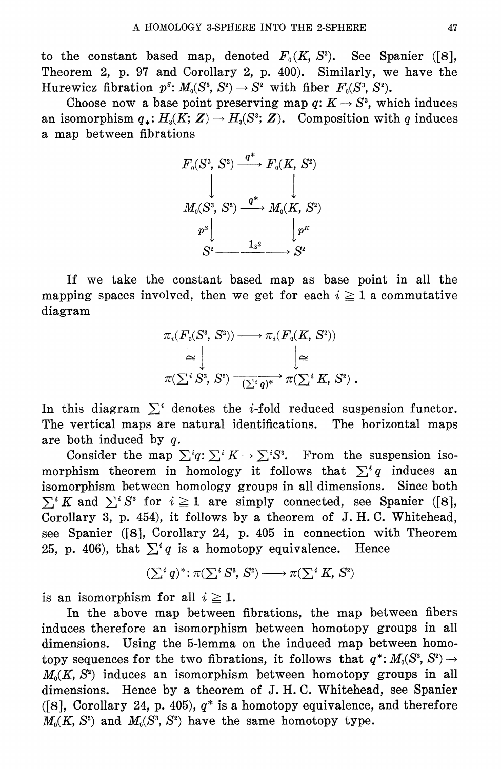to the constant based map, denoted  $F_0(K, S^2)$ . See Spanier ([8], Theorem 2, p. 97 and Corollary 2, p. 400). Similarly, we have the Hurewicz fibration  $p^s: M_0(S^3, S^2) \to S^2$  with fiber  $F_0(S^3, S^2)$ .

Choose now a base point preserving map q:  $K \to S^3$ , which induces an isomorphism  $q_*: H_3(K; Z) \to H_3(S^3; Z)$ . Composition with q induces a map between fibrations



If we take the constant based map as base point in all the mapping spaces involved, then we get for each  $i \ge 1$  a commutative diagram

$$
\pi_i(F_0(S^3, S^2)) \longrightarrow \pi_i(F_0(K, S^2))
$$
  
\n
$$
\cong \bigcup_{\pi(\sum_i S^3, S^2) \longrightarrow (\sum_i q)^*} \pi(\sum_i K, S^2).
$$

In this diagram  $\sum_i$  denotes the *i*-fold reduced suspension functor. The vertical maps are natural identifications. The horizontal maps are both induced by  $q$ .

Consider the map  $\sum^i q: \sum^i K \to \sum^i S^i$ . From the suspension isomorphism theorem in homology it follows that  $\sum_i q$  induces an isomorphism between homology groups in all dimensions. Since both  $\sum^{i} K$  and  $\sum^{i} S^{i}$  for  $i \geq 1$  are simply connected, see Spanier ([8], Corollary 3, p. 454), it follows by a theorem of J.H.C. Whitehead, see Spanier ([8], Corollary 24, p. 405 in connection with Theorem 25, p. 406), that  $\sum^i q$  is a homotopy equivalence. Hence

$$
(\sum^i q)^* \colon \pi(\sum^i S^3, S^2) \longrightarrow \pi(\sum^i K, S^2)
$$

is an isomorphism for all  $i \geq 1$ .

In the above map between fibrations, the map between fibers induces therefore an isomorphism between homotopy groups in all dimensions. Using the 5-lemma on the induced map between homotopy sequences for the two fibrations, it follows that  $q^*: M_0(S^3, S^2) \rightarrow$  $M_0(K, S^2)$  induces an isomorphism between homotopy groups in all dimensions. Hence by a theorem of J.H.C. Whitehead, see Spanier ([8], Corollary 24, p. 405),  $q^*$  is a homotopy equivalence, and therefore  $M_0(K, S^2)$  and  $M_0(S^3, S^2)$  have the same homotopy type.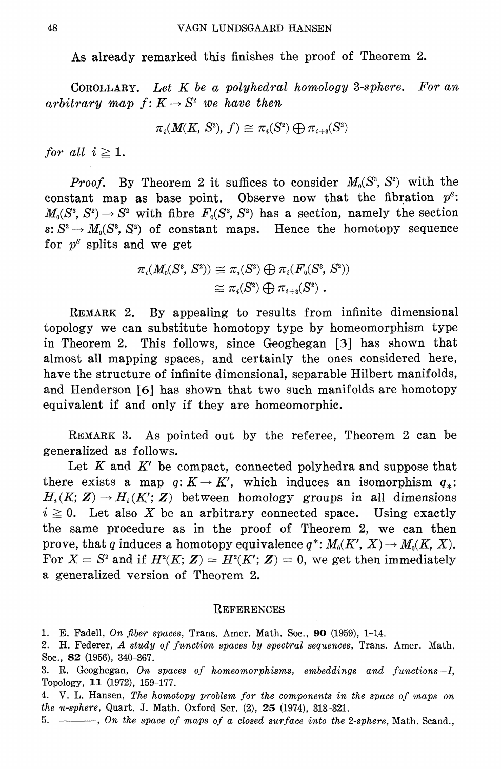As already remarked this finishes the proof of Theorem 2.

COROLLARY. Let  $K$  be a polyhedral homology 3-sphere. For an arbitrary map  $f: K \to S^2$  we have then

$$
\pi_i(M(K,\,S^2),\,f)\cong \pi_i(S^2)\bigoplus \pi_{i+3}(S^2)
$$

for all  $i \geq 1$ .

*Proof.* By Theorem 2 it suffices to consider  $M_0(S^3, S^2)$  with the constant map as base point. Observe now that the fibration  $p^s$ :  $M_0(S^3, S^2) \rightarrow S^2$  with fibre  $F_0(S^3, S^2)$  has a section, namely the section s:  $S^2 \to M_0(S^3, S^2)$  of constant maps. Hence the homotopy sequence for  $p^s$  splits and we get

$$
\begin{aligned} \pi_{i}(M_{0}(S^{3},\,S^{2})) &\cong \pi_{i}(S^{2})\bigoplus\pi_{i}(F_{0}(S^{3},\,S^{2})) \\ &\cong \pi_{i}(S^{2})\bigoplus\pi_{i+3}(S^{2})\,\, .\end{aligned}
$$

REMARK 2. By appealing to results from infinite dimensional topology we can substitute homotopy type by homeomorphism type in Theorem 2. This follows, since Geoghegan [3] has shown that almost all mapping spaces, and certainly the ones considered here, have the structure of infinite dimensional, separable Hilbert manifolds, and Henderson [6] has shown that two such manifolds are homotopy equivalent if and only if they are homeomorphic.

REMARK 3. As pointed out by the referee, Theorem 2 can be generalized as follows.

Let  $K$  and  $K'$  be compact, connected polyhedra and suppose that there exists a map  $q: K \to K'$ , which induces an isomorphism  $q_*$ .  $H_i(K; Z) \to H_i(K'; Z)$  between homology groups in all dimensions  $i \geq 0$ . Let also X be an arbitrary connected space. Using exactly the same procedure as in the proof of Theorem 2, we can then prove, that q induces a homotopy equivalence  $q^*: M_0(K', X) \to M_0(K, X)$ . For  $X = S^2$  and if  $H^2(K; Z) = H^2(K'; Z) = 0$ , we get then immediately a generalized version of Theorem 2.

### REFERENCES

1. E. Fadell, On fiber spaces, Trans. Amer. Math. Soc., 90 (1959), 1-14.

2. H. Federer, A study of function spaces by spectral sequences, Trans. Amer. Math. Soc., **82** (1956), 340-367.

3. R. Geoghegan, On spaces of homeomorphisms, embeddings and functions-I, Topology, 11 (1972), 159-177.

4. V. L. Hansen, The homotopy problem for the components in the space of maps on the n-sphere, Quart. J. Math. Oxford Ser. (2), 25 (1974), 313-321.

5. - , On the space of maps of a closed surface into the 2-sphere, Math. Scand.,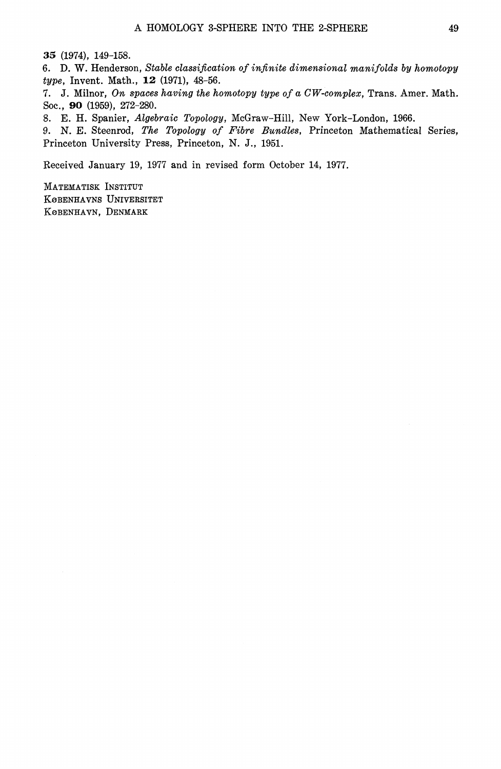35 (1974), 149-158.

6. D. W. Henderson, Stable classification of infinite dimensional manifolds by homotopy type, Invent. Math., 12 (1971), 48-56.

7. J. Milnor, On spaces having the homotopy type of a CW-complex, Trans. Amer. Math. Soc., 90 (1959), 272-280.

8. E. H. Spanier, Algebraic Topology, McGraw-Hill, New York-London, 1966.

9. N. E. Steenrod, The Topology of Fibre Bundles, Princeton Mathematical Series, Princeton University Press, Princeton, N. J., 1951.

Received January 19, 1977 and in revised form October 14, 1977.

MATEMATISK INSTITUT KØBENHAVNS UNIVERSITET KOBENHAVN, DENMARK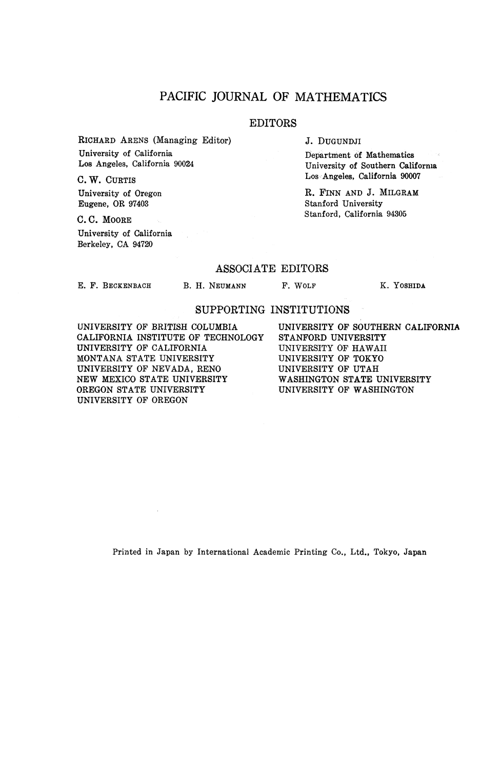## PACIFIC JOURNAL OF MATHEMATICS

#### EDITORS

RICHARD ARENS (Managing Editor) University of California Los Angeles, California 90024

C.W. CURTIS University of Oregon Eugene, OR 97403

C. C. MOORE University of California Berkeley, CA 94720

J. DUGUNDJI

Department of Mathematics University of Southern California Los Angeles, California 90007

R. FINN AND J. MILGRAM Stanford University Stanford, California 94305

#### ASSOCIATE EDITORS

E. F. BECKENBACH

B. H. NEUMANN F. WOLF K. YOSHIDA

## SUPPORTING INSTITUTIONS

UNIVERSITY OF BRITISH COLUMBIA CALIFORNIA INSTITUTE OF TECHNOLOGY UNIVERSITY OF CALIFORNIA MONTANA STATE UNIVERSITY UNIVERSITY OF NEVADA, RENO NEW MEXICO STATE UNIVERSITY OREGON STATE UNIVERSITY UNIVERSITY OF OREGON

UNIVERSITY OF SOUTHERN CALIFORNIA STANFORD UNIVERSITY UNIVERSITY OF HAWAII UNIVERSITY OF TOKYO UNIVERSITY OF UTAH WASHINGTON STATE UNIVERSITY UNIVERSITY OF WASHINGTON

Printed in Japan by International Academic Printing Co., Ltd., Tokyo, Japan